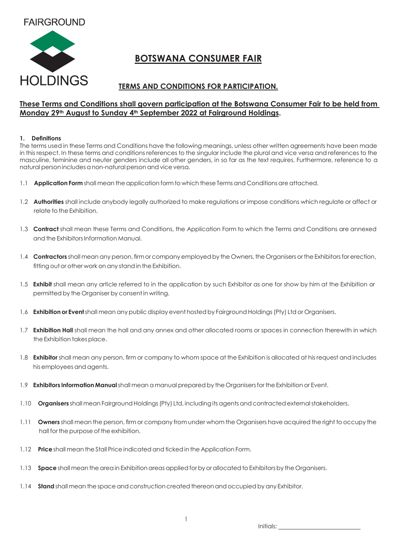## **FAIRGROUND**



# **BOTSWANA CONSUMER FAIR**

### **TERMS AND CONDITIONS FOR PARTICIPATION.**

#### **These Terms and Conditions shall govern participation at the Botswana Consumer Fair to be held from Monday 29th August to Sunday 4th September 2022 at Fairground Holdings.**

#### **1. Definitions**

The terms used in these Terms and Conditions have the following meanings, unless other written agreements have been made in this respect. In these terms and conditions references to the singular include the plural and vice versa and references to the masculine, feminine and neuter genders include all other genders, in so far as the text requires. Furthermore, reference to a natural person includes a non-natural person and vice versa.

- 1.1 **Application Form** shall mean the application form to which these Terms and Conditions are attached.
- 1.2 **Authorities** shall include anybody legally authorized to make regulations or impose conditions which regulate or affect or relate to the Exhibition.
- 1.3 **Contract** shall mean these Terms and Conditions, the Application Form to which the Terms and Conditions are annexed and the ExhibitorsInformation Manual.
- 1.4 **Contractors** shall mean any person, firm or company employed by the Owners, the Organisers or the Exhibitors for erection, fitting out or other work on any stand in the Exhibition.
- 1.5 **Exhibit** shall mean any article referred to in the application by such Exhibitor as one for show by him at the Exhibition or permittedby the Organiser by consentin writing.
- 1.6 **Exhibition or Event** shall mean any public display event hosted by Fairground Holdings (Pty) Ltd or Organisers.
- 1.7 **Exhibition Hall** shall mean the hall and any annex and other allocated rooms or spaces in connection therewith in which the Exhibition takes place.
- 1.8 **Exhibitor** shall mean any person, firm or company to whom space at the Exhibition is allocated at his request and includes his employees and agents.
- 1.9 **Exhibitors Information Manual**shall mean a manual prepared by the Organisersfor the Exhibition or Event.
- 1.10 **Organisers** shall mean Fairground Holdings (Pty) Ltd, including its agents and contracted external stakeholders.
- 1.11 **Owners** shall mean the person, firm or company from under whom the Organisers have acquired the right to occupy the hall for the purpose of the exhibition.
- 1.12 **Price**shall mean the Stall Price indicated andtickedin the Application Form.
- 1.13 **Space** shall mean the area in Exhibition areas applied for by or allocated to Exhibitors by the Organisers.
- 1.14 **Stand** shall mean the space and construction created thereon and occupied by any Exhibitor.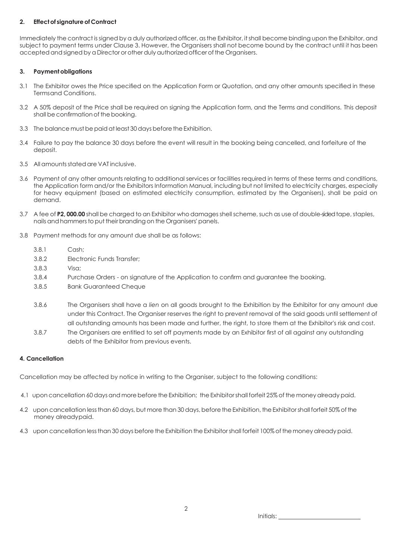#### **2. Effectof signature of Contract**

Immediately the contract is signed by a duly authorized officer, as the Exhibitor, it shall become binding upon the Exhibitor, and subject to payment terms under Clause 3. However, the Organisers shall not become bound by the contract until it has been accepted andsigned bya Director or otherdulyauthorizedofficer ofthe Organisers.

#### **3. Paymentobligations**

- 3.1 The Exhibitor owes the Price specified on the Application Form or Quotation, and any other amounts specified in these Termsand Conditions.
- 3.2 A 50% deposit of the Price shall be required on signing the Application form, and the Terms and conditions. This deposit shall be confirmation of the booking.
- 3.3 The balance must be paid at least 30 days before the Exhibition.
- 3.4 Failure to pay the balance 30 days before the event will result in the booking being cancelled, and forfeiture of the deposit.
- 3.5 All amounts stated are VAT inclusive.
- 3.6 Payment of any other amounts relating to additional services or facilities required in terms of these terms and conditions, the Application form and/or the Exhibitors Information Manual, including but not limited to electricity charges, especially for heavy equipment (based on estimated electricity consumption, estimated by the Organisers), shall be paid on demand.
- 3.7 A fee of **P2, 000.00** shall be charged to an Exhibitor who damages shell scheme, such as use of double-sidedtape,staples, nails and hammers to put their branding on the Organisers' panels.
- 3.8 Payment methods for any amount due shall be as follows:
	- 3.8.1 Cash;
	- 3.8.2 Electronic Funds Transfer;
	- 3.8.3 Visa;
	- 3.8.4 Purchase Orders on signature of the Application to confirm and guarantee the booking.
	- 3.8.5 Bank Guaranteed Cheque
	- 3.8.6 The Organisers shall have a *lien* on all goods brought to the Exhibition by the Exhibitor for any amount due under this Contract. The Organiser reserves the right to prevent removal of the said goods until settlement of all outstanding amounts has been made and further, the right, to store them at the Exhibitor's risk and cost.
	- 3.8.7 The Organisers are entitled to set off payments made by an Exhibitor first of all against any outstanding debts of the Exhibitor from previous events.

#### **4. Cancellation**

Cancellation may be affected by notice in writing to the Organiser, subject to the following conditions:

- 4.1 upon cancellation 60 days and more before the Exhibition; the Exhibitor shall forfeit 25% of the money already paid.
- 4.2 upon cancellation less than 60 days, but more than 30 days, before the Exhibition, the Exhibitor shall forfeit 50% of the money alreadypaid.
- 4.3 upon cancellation less than 30 days before the Exhibition the Exhibitor shall forfeit 100% of the money already paid.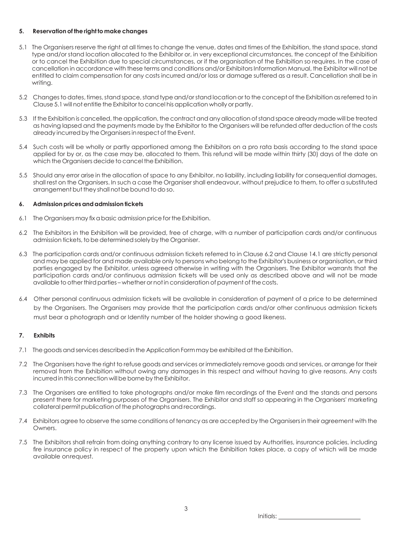#### **5. Reservation of the right to make changes**

- 5.1 The Organisers reserve the right at all times to change the venue, dates and times of the Exhibition, the stand space, stand type and/or stand location allocated to the Exhibitor or, in very exceptional circumstances, the concept of the Exhibition or to cancel the Exhibition due to special circumstances, or if the organisation of the Exhibition so requires. In the case of cancellation in accordance with these terms and conditions and/or ExhibitorsInformation Manual, the Exhibitor will not be entitled to claim compensation for any costs incurred and/or loss or damage suffered as a result. Cancellation shall be in writing.
- 5.2 Changestodates,times,stand space,standtype and/or standlocation or to the concept of the Exhibition asreferred to in Clause 5.1 will notentitle the Exhibitor tocancel hisapplication wholly or partly.
- 5.3 If the Exhibition is cancelled, the application, the contract and any allocation of stand space already made will be treated as having lapsed and the payments made by the Exhibitor to the Organisers will be refunded after deduction of the costs already incurredby the Organisersin respectof the Event.
- 5.4 Such costs will be wholly or partly apportioned among the Exhibitors on a pro rata basis according to the stand space applied for by or, as the case may be, allocated to them. This refund will be made within thirty (30) days of the date on which the Organisers decide to cancel the Exhibition.
- 5.5 Should any error arise in the allocation of space to any Exhibitor, no liability, including liability for consequential damages, shall rest on the Organisers. In such a case the Organiser shall endeavour, without prejudice to them, to offer a substituted arrangement but they shall not be bound to do so.

#### **6. Admissionpricesandadmission tickets**

- 6.1 The Organisers may fix a basic admission price for the Exhibition.
- 6.2 The Exhibitors in the Exhibition will be provided, free of charge, with a number of participation cards and/or continuous admission tickets, to be determined solely by the Organiser.
- 6.3 The participation cards and/or continuous admission tickets referred to in Clause 6.2 and Clause 14.1 are strictly personal and may be applied for and made available only to persons who belong to the Exhibitor's business or organisation, or third parties engaged by the Exhibitor, unless agreed otherwise in writing with the Organisers. The Exhibitor warrants that the participation cards and/or continuous admission tickets will be used only as described above and will not be made available to other third parties – whether or not in consideration of payment of the costs.
- 6.4 Other personal continuous admission tickets will be available in consideration of payment of a price to be determined by the Organisers. The Organisers may provide that the participation cards and/or other continuous admission tickets must bear a photograph and or Identity number of the holder showing a good likeness.

#### **7. Exhibits**

- 7.1 The goods and services described in the Application Form may be exhibited at the Exhibition.
- 7.2 The Organisers have the right to refuse goods and services or immediately remove goods and services, or arrange for their removal from the Exhibition without owing any damages in this respect and without having to give reasons. Any costs incurred in this connection will be borne by the Exhibitor.
- 7.3 The Organisers are entitled to take photographs and/or make film recordings of the Event and the stands and persons present there for marketing purposes of the Organisers. The Exhibitor and staff so appearing in the Organisers' marketing collateral permit publication of the photographs and recordings.
- 7.4 Exhibitors agree to observe the same conditions of tenancy as are accepted by the Organisersin their agreement with the Owners.
- 7.5 The Exhibitors shall refrain from doing anything contrary to any license issued by Authorities, insurance policies, including fire insurance policy in respect of the property upon which the Exhibition takes place, a copy of which will be made available onrequest.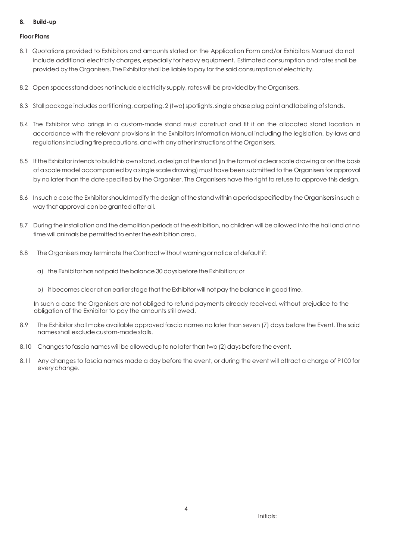#### **8. Build-up**

#### **Floor Plans**

- 8.1 Quotations provided to Exhibitors and amounts stated on the Application Form and/or Exhibitors Manual do not include additional electricity charges, especially for heavy equipment. Estimated consumption and rates shall be provided by the Organisers. The Exhibitorshall be liable topay forthe saidconsumption of electricity.
- 8.2 Open spacesstanddoes notinclude electricity supply, rates will be provided by the Organisers.
- 8.3 Stall package includes partitioning, carpeting, 2 (two) spotlights, single phase plug point and labeling of stands.
- 8.4 The Exhibitor who brings in a custom-made stand must construct and fit it on the allocated stand location in accordance with the relevant provisions in the Exhibitors Information Manual including the legislation, by-laws and regulations including fire precautions, and with any other instructions of the Organisers.
- 8.5 If the Exhibitor intends to build his own stand, a design of the stand (in the form of a clear scale drawing or on the basis of ascale model accompanied byasingle scale drawing) must have been submitted to the Organisersfor approval by no later than the date specified by the Organiser. The Organisers have the right to refuse to approve this design.
- 8.6 In such a case the Exhibitor should modify the design of the stand within a period specified by the Organisers in such a way that approval can be granted after all.
- 8.7 During the installation and the demolition periods of the exhibition, no children will be allowed into the hall and at no time will animals be permitted to enter the exhibition area.
- 8.8 The Organisers may terminate the Contract without warning or notice of default if:
	- a) the Exhibitor has not paid the balance 30 days before the Exhibition; or
	- b) it becomes clear at an earlier stage that the Exhibitor will not pay the balance in good time.

In such a case the Organisers are not obliged to refund payments already received, without prejudice to the obligation of the Exhibitor to pay the amounts still owed.

- 8.9 The Exhibitor shall make available approved fascia names no later than seven (7) days before the Event. The said namesshall exclude custom-made stalls.
- 8.10 Changes to fascia names will be allowed up to no later than two (2) days before the event.
- 8.11 Any changes to fascia names made a day before the event, or during the event will attract a charge of P100 for every change.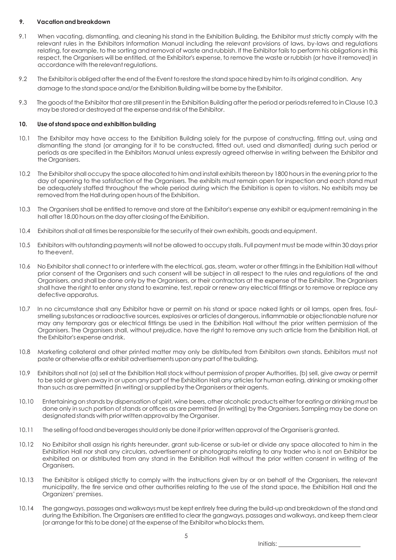#### **9. Vacationand breakdown**

- 9.1 When vacating, dismantling, and cleaning his stand in the Exhibition Building, the Exhibitor must strictly comply with the relevant rules in the Exhibitors Information Manual including the relevant provisions of laws, by-laws and regulations relating, for example, to the sorting and removal of waste and rubbish. If the Exhibitor fails to perform his obligations in this respect, the Organisers will be entitled, at the Exhibitor's expense, to remove the waste or rubbish (or have it removed) in accordance with therelevant regulations.
- 9.2 The Exhibitor is obliged after the end of the Event to restore the stand space hired by him to its original condition. Any damage to the stand space and/or the Exhibition Building will be borne by the Exhibitor.
- 9.3 The goods of the Exhibitor that are still present in the Exhibition Buildingafter the periodor periodsreferred to in Clause 10.3 may be stored or destroyed at the expense and risk of the Exhibitor.

#### **10. Use of stand spaceand exhibitionbuilding**

- 10.1 The Exhibitor may have access to the Exhibition Building solely for the purpose of constructing, fitting out, using and dismantling the stand (or arranging for it to be constructed, fitted out, used and dismantled) during such period or periods as are specified in the Exhibitors Manual unless expressly agreed otherwise in writing between the Exhibitor and the Organisers.
- 10.2 The Exhibitor shall occupy the space allocated to him and install exhibits thereon by 1800 hours in the evening prior to the day of opening to the satisfaction of the Organisers. The exhibits must remain open for inspection and each stand must be adequately staffed throughout the whole period during which the Exhibition is open to visitors. No exhibits may be removed from the Hall during open hours of the Exhibition.
- 10.3 The Organisers shall be entitled to remove and store at the Exhibitor's expense any exhibit or equipment remaining in the hall after 18.00 hours on the day after closing of the Exhibition.
- 10.4 Exhibitors shall at all times be responsible for the security of their own exhibits, goods and equipment.
- 10.5 Exhibitors with outstanding payments will notbe allowed to occupy stalls. Full payment must be made within 30 days prior to theevent.
- 10.6 No Exhibitorshall connect to or interfere with the electrical, gas,steam, water or other fittingsin the Exhibition Hall without prior consent of the Organisers and such consent will be subject in all respect to the rules and regulations of the and Organisers, and shall be done only by the Organisers, or their contractors at the expense of the Exhibitor. The Organisers shall have the right to enter any stand to examine, test, repair or renew any electrical fittings or to remove or replace any defective apparatus.
- 10.7 In no circumstance shall any Exhibitor have or permit on his stand or space naked lights or oil lamps, open fires, foulsmelling substances or radioactive sources, explosives or articles of dangerous, inflammable or objectionable nature nor may any temporary gas or electrical fittings be used in the Exhibition Hall without the prior written permission of the Organisers. The Organisers shall, without prejudice, have the right to remove any such article from the Exhibition Hall, at the Exhibitor's expense and risk.
- 10.8 Marketing collateral and other printed matter may only be distributed from Exhibitors own stands. Exhibitors must not paste or otherwise affix or exhibit advertisements upon any part of the building.
- 10.9 Exhibitors shall not (a) sell at the Exhibition Hall stock without permission of proper Authorities, (b) sell, give away or permit to be sold or given away in or upon any part of the Exhibition Hall any articles for human eating, drinking or smoking other than such as are permitted (in writing) or supplied by the Organisers or their agents.
- 10.10 Entertaining on stands by dispensation ofspirit, wine beers, other alcoholic products either for eating or drinking must be done only in such portion of stands or offices as are permitted (in writing) by the Organisers. Sampling may be done on designated stands with prior written approval by the Organiser.
- 10.11 The selling of food and beverages should only be done if prior written approval of the Organiser is granted.
- 10.12 No Exhibitor shall assign his rights hereunder, grant sub-license or sub-let or divide any space allocated to him in the Exhibition Hall nor shall any circulars, advertisement or photographs relating to any trader who is not an Exhibitor be exhibited on or distributed from any stand in the Exhibition Hall without the prior written consent in writing of the Organisers.
- 10.13 The Exhibitor is obliged strictly to comply with the instructions given by or on behalf of the Organisers, the relevant municipality, the fire service and other authorities relating to the use of the stand space, the Exhibition Hall and the Organizers' premises.
- 10.14 The gangways, passages and walkways must be kept entirely free during the build-upand breakdown of the stand and during the Exhibition. The Organisers are entitled to clear the gangways, passages and walkways, and keep them clear (or arrange for this to be done) at the expense of the Exhibitor who blocks them.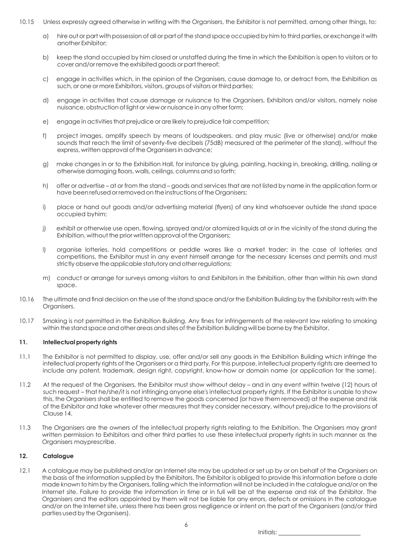- 10.15 Unless expressly agreed otherwise in writing with the Organisers, the Exhibitor is not permitted, among other things, to:
	- a) hire out or part with possession of all or part of the standspace occupied by him to third parties, or exchange it with another Exhibitor;
	- b) keep the stand occupied by him closed or unstaffed during the time in which the Exhibition is open to visitors or to cover and/or remove the exhibited goods or part thereof;
	- c) engage in activities which, in the opinion of the Organisers, cause damage to, or detract from, the Exhibition as such, or one or more Exhibitors, visitors, groups of visitors or third parties;
	- d) engage in activities that cause damage or nuisance to the Organisers, Exhibitors and/or visitors, namely noise nuisance,obstruction of light or view or nuisance inany other form;
	- e) engage in activities that prejudice or are likely to prejudice fair competition;
	- f) project images, amplify speech by means of loudspeakers, and play music (live or otherwise) and/or make sounds that reach the limit of seventy-five decibels (75dB) measured at the perimeter of the stand), without the express, written approval of the Organisers in advance;
	- g) make changes in or to the Exhibition Hall, for instance by gluing, painting, hacking in, breaking, drilling, nailing or otherwise damaging floors, walls, ceilings, columns and so forth;
	- h) offer or advertise at or from the stand goods and services that are not listed by name in the application form or have been refused or removed on the instructions of the Organisers;
	- i) place or hand out goods and/or advertising material (flyers) of any kind whatsoever outside the stand space occupied byhim;
	- j) exhibit or otherwise use open, flowing, sprayed and/or atomized liquids at or in the vicinity of the stand during the Exhibition, without the prior written approval of the Organisers;
	- l) organise lotteries, hold competitions or peddle wares like a market trader; in the case of lotteries and competitions, the Exhibitor must in any event himself arrange for the necessary licenses and permits and must strictly observe the applicable statutory and other regulations;
	- m) conduct or arrange for surveys among visitors to and Exhibitors in the Exhibition, other than within his own stand space.
- 10.16 The ultimate and final decision on the use of the stand space and/or the Exhibition Building by the Exhibitor rests with the Organisers.
- 10.17 Smoking is not permitted in the Exhibition Building. Any fines for infringements of the relevant law relating to smoking within the stand space and other areas and sites of the Exhibition Building will be borne by the Exhibitor.

#### **11. Intellectualproperty rights**

- 11.1 The Exhibitor is not permitted to display, use, offer and/or sell any goods in the Exhibition Building which infringe the intellectual property rights of the Organisers or a third party. For this purpose, intellectual property rights are deemed to include any patent, trademark, design right, copyright, know-how or domain name (or application for the same).
- 11.2 At the request of the Organisers, the Exhibitor must show without delay and in any event within twelve (12) hours of such request – that he/she/it is not infringing anyone else's intellectual property rights. If the Exhibitor is unable to show this, the Organisers shall be entitled to remove the goods concerned (or have them removed) at the expense and risk of the Exhibitor and take whatever other measures that they consider necessary, without prejudice to the provisions of Clause 14.
- 11.3 The Organisers are the owners of the intellectual property rights relating to the Exhibition. The Organisers may grant written permission to Exhibitors and other third parties to use these intellectual property rights in such manner as the Organisers mayprescribe.

#### **12. Catalogue**

12.1 A catalogue may be published and/or an Internet site may be updated or set up by or on behalf of the Organisers on the basis of the information supplied by the Exhibitors. The Exhibitor is obliged to provide this information before a date made known to him by the Organisers, failing which the information will not be included in the catalogue and/or on the Internet site. Failure to provide the information in time or in full will be at the expense and risk of the Exhibitor. The Organisers and the editors appointed by them will not be liable for any errors, defects or omissions in the catalogue and/or on the Internet site, unless there has been gross negligence or intent on the part of the Organisers (and/or third parties used by the Organisers).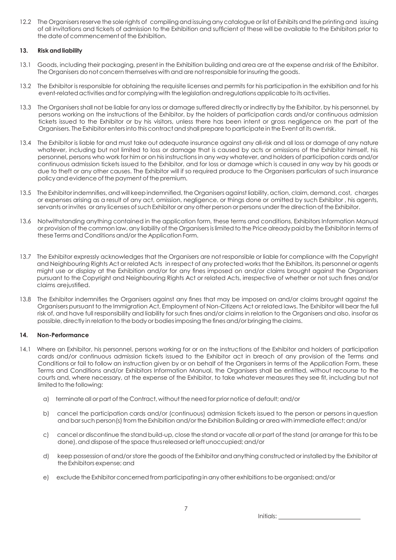12.2 The Organisers reserve the sole rights of compiling and issuing any catalogue or list of Exhibits and the printing and issuing of all invitations and tickets of admission to the Exhibition and sufficient of these will be available to the Exhibitors prior to the date of commencement of the Exhibition.

#### **13. Risk and liability**

- 13.1 Goods, including their packaging, present in the Exhibition building and area are at the expense and risk of the Exhibitor. The Organisers do not concern themselves with and are not responsible for insuring the goods.
- 13.2 The Exhibitor is responsible for obtaining the requisite licenses and permits for his participation in the exhibition and for his event-relatedactivities andfor complying with the legislation andregulationsapplicable toits activities.
- 13.3 The Organisers shall not be liable for any loss or damage suffered directly or indirectly by the Exhibitor, by his personnel, by persons working on the instructions of the Exhibitor, by the holders of participation cards and/or continuous admission tickets issued to the Exhibitor or by his visitors, unless there has been intent or gross negligence on the part of the Organisers. The Exhibitor enters into this contract and shall prepare to participate in the Event at its own risk.
- 13.4 The Exhibitor is liable for and must take out adequate insurance against any all-risk and all loss or damage of any nature whatever, including but not limited to loss or damage that is caused by acts or omissions of the Exhibitor himself, his personnel, persons who work for him or on hisinstructions in any way whatever, and holders of participation cards and/or continuous admission tickets issued to the Exhibitor, and for loss or damage which is caused in any way by his goods or due to theft or any other causes. The Exhibitor will if so required produce to the Organisers particulars of such insurance policy and evidence of the payment of the premium.
- 13.5 The Exhibitor indemnifies, and will keep indemnified, the Organisers against liability, action, claim, demand, cost, charges or expenses arising as a result of any act, omission, negligence, or things done or omitted by such Exhibitor , his agents, servants or invites or any licenses of such Exhibitor or any other person or persons under the direction of the Exhibitor.
- 13.6 Notwithstanding anything contained in the application form, these terms and conditions, Exhibitors Information Manual or provision of the common law, any liability of the Organisersislimited to the Price already paidby the Exhibitor in terms of these Terms and Conditions and/or the Application Form.
- 13.7 The Exhibitor expressly acknowledges that the Organisers are not responsible or liable for compliance with the Copyright and Neighbouring Rights Act or related Acts in respect of any protected works that the Exhibitors, its personnel or agents might use or display at the Exhibition and/or for any fines imposed on and/or claims brought against the Organisers pursuant to the Copyright and Neighbouring Rights Act or related Acts, irrespective of whether or not such fines and/or claims arejustified.
- 13.8 The Exhibitor indemnifies the Organisers against any fines that may be imposed on and/or claims brought against the Organisers pursuant to the Immigration Act, Employment of Non-Citizens Act or related laws. The Exhibitor will bear the full risk of, and have full responsibility and liability for such fines and/or claims in relation to the Organisers and also, insofar as possible, directly in relation to the body or bodies imposing the fines and/or bringing the claims.

#### **14. Non-Performance**

- 14.1 Where an Exhibitor, his personnel, persons working for or on the instructions of the Exhibitor and holders of participation cards and/or continuous admission tickets issued to the Exhibitor act in breach of any provision of the Terms and Conditions or fail to follow an instruction given by or on behalf of the Organisers in terms of the Application Form, these Terms and Conditions and/or Exhibitors Information Manual, the Organisers shall be entitled, without recourse to the courts and, where necessary, at the expense of the Exhibitor, to take whatever measures they see fit, including but not limited to the following:
	- a) terminateall or part ofthe Contract, withoutthe needforprior notice ofdefault;and/or
	- b) cancel the participation cards and/or (continuous) admission tickets issued to the person or persons inquestion and barsuch person(s) from the Exhibition and/or the Exhibition Building or area with immediate effect; and/or
	- c) cancel or discontinue the stand build-up, close the stand or vacate all or part of the stand (or arrange for thisto be done), and dispose of the space thus released or left unoccupied; and/or
	- d) keep possession of and/or store the goods of the Exhibitor and anything constructed or installed by the Exhibitor at the Exhibitors expense; and
	- e) exclude the Exhibitor concerned from participating in any other exhibitions to be organised; and/or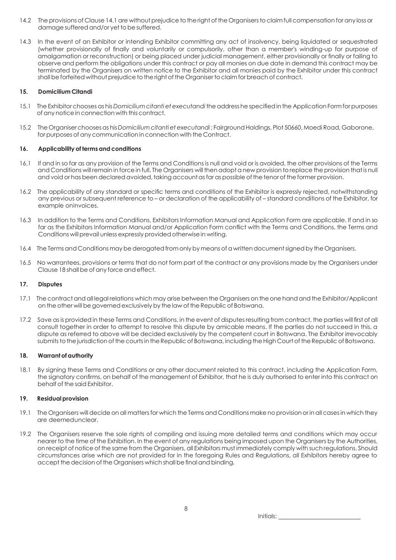- 14.2 The provisions of Clause 14.1 are without prejudice to the right of the Organisers to claim full compensation for any loss or damage suffered and/or yet to be suffered.
- 14.3 In the event of an Exhibitor or intending Exhibitor committing any act of insolvency, being liquidated or sequestrated (whether provisionally of finally and voluntarily or compulsorily, other than a member's winding-up for purpose of amalgamation or reconstruction) or being placed under judicial management, either provisionally or finally or failing to observe and perform the obligations under this contract or pay all monies on due date in demand this contract may be terminated by the Organisers on written notice to the Exhibitor and all monies paid by the Exhibitor under this contract shall be forfeited without prejudice to the right of the Organiser to claim for breach of contract.

#### **15. Domicilium Citandi**

- 15.1 The Exhibitor chooses as his *Domicilium citanti et executandi*theaddress he specifiedin the Application Formfor purposes of any noticein connection with thiscontract.
- 15.2 The Organiserchoosesas his *Domicilium citanti et executandi* ; FairgroundHoldings, Plot 50660, Moedi Road, Gaborone, for purposes of anycommunication in connection with the Contract.

#### **16. Applicability of termsand conditions**

- 16.1 If and in so far as any provision of the Terms and Conditions is null and void or is avoided, the other provisions of the Terms and Conditions will remain in force in full. The Organisers will then adopt a new provision to replace the provision that is null and void or has been declared avoided, taking account as far as possible of the tenor of the former provision.
- 16.2 The applicability of any standard or specific terms and conditions of the Exhibitor is expressly rejected, notwithstanding any previous or subsequent reference to – or declaration of the applicability of – standard conditions of the Exhibitor, for example oninvoices.
- 16.3 In addition to the Terms and Conditions, Exhibitors Information Manual and Application Form are applicable. If and in so far as the Exhibitors Information Manual and/or Application Form conflict with the Terms and Conditions, the Terms and Conditions will prevail unless expressly provided otherwise in writing.
- 16.4 The Terms and Conditions may be derogated from only by means of a written document signed by the Organisers.
- 16.5 No warrantees, provisions or terms that do not form part of the contract or any provisions made by the Organisers under Clause 18 shall be of any force and effect.

#### **17. Disputes**

- 17.1 The contract and all legal relations which may arise between the Organisers on the one hand and the Exhibitor/Applicant on the other will begovernedexclusively by the law ofthe Republic of Botswana.
- 17.2 Save as is provided in these Terms and Conditions, in the event of disputesresulting from contract, the parties will first of all consult together in order to attempt to resolve this dispute by amicable means. If the parties do not succeed in this, a dispute as referred to above will be decided exclusively by the competent court in Botswana. The Exhibitor irrevocably submits to the jurisdiction of the courts in the Republic of Botswana, including the High Court of the Republic of Botswana.

#### **18. Warrantofauthority**

18.1 By signing these Terms and Conditions or any other document related to this contract, including the Application Form, the signatory confirms, on behalf of the management of Exhibitor, that he is duly authorised to enter into this contract on behalf of the said Exhibitor.

#### **19. Residualprovision**

- 19.1 The Organisers will decide on all matters for which the Terms and Conditions make no provision or in all cases in which they are deemedunclear.
- 19.2 The Organisers reserve the sole rights of compiling and issuing more detailed terms and conditions which may occur nearer to the time of the Exhibition. In the event of any regulations being imposed upon the Organisers by the Authorities, on receipt of notice of the same from the Organisers, all Exhibitors must immediately comply with such regulations. Should circumstances arise which are not provided for in the foregoing Rules and Regulations, all Exhibitors hereby agree to accept the decision of the Organisers which shall be final and binding.